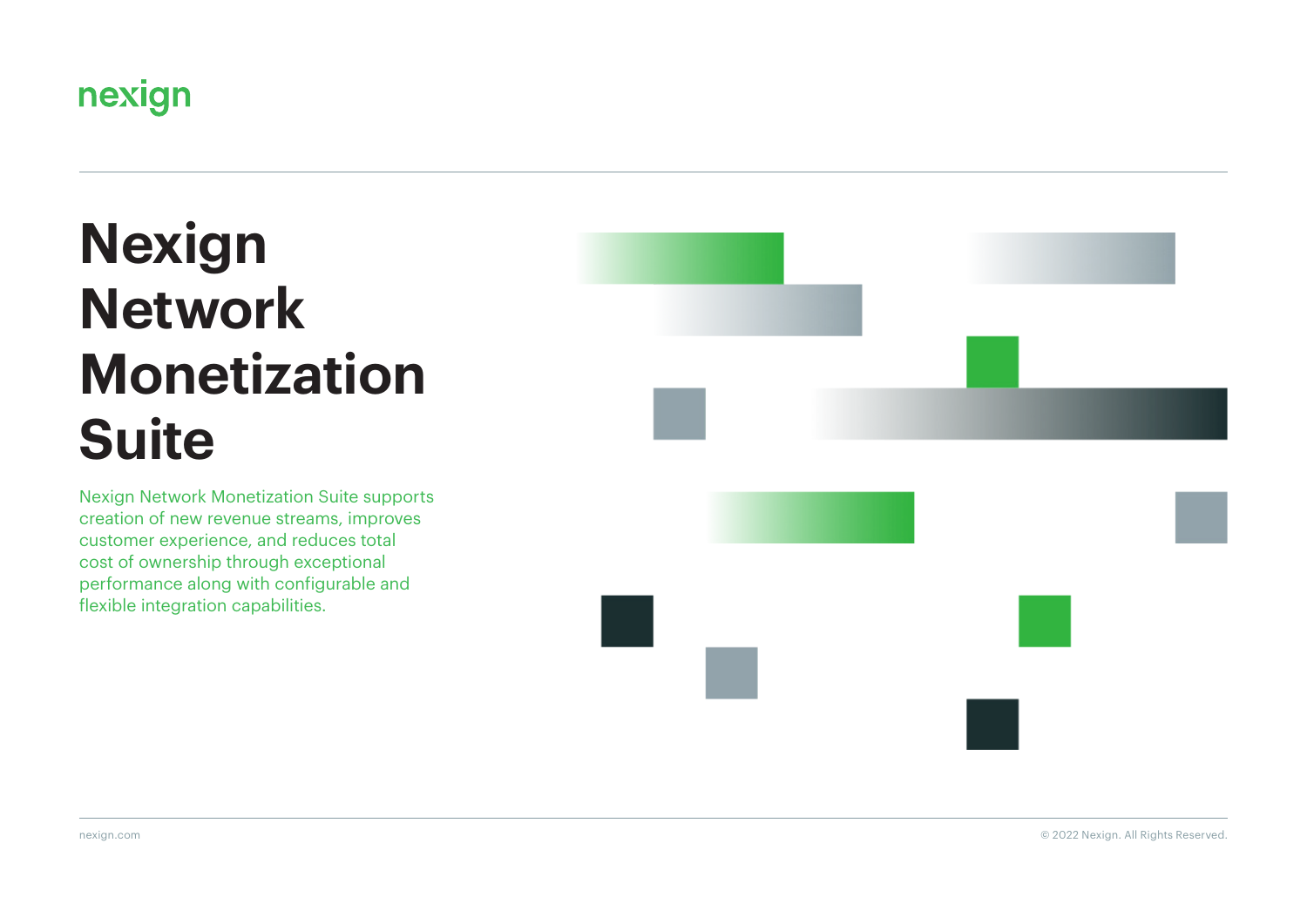

# **Nexign Network Monetization Suite**

Nexign Network Monetization Suite supports creation of new revenue streams, improves customer experience, and reduces total cost of ownership through exceptional performance along with configurable and flexible integration capabilities.





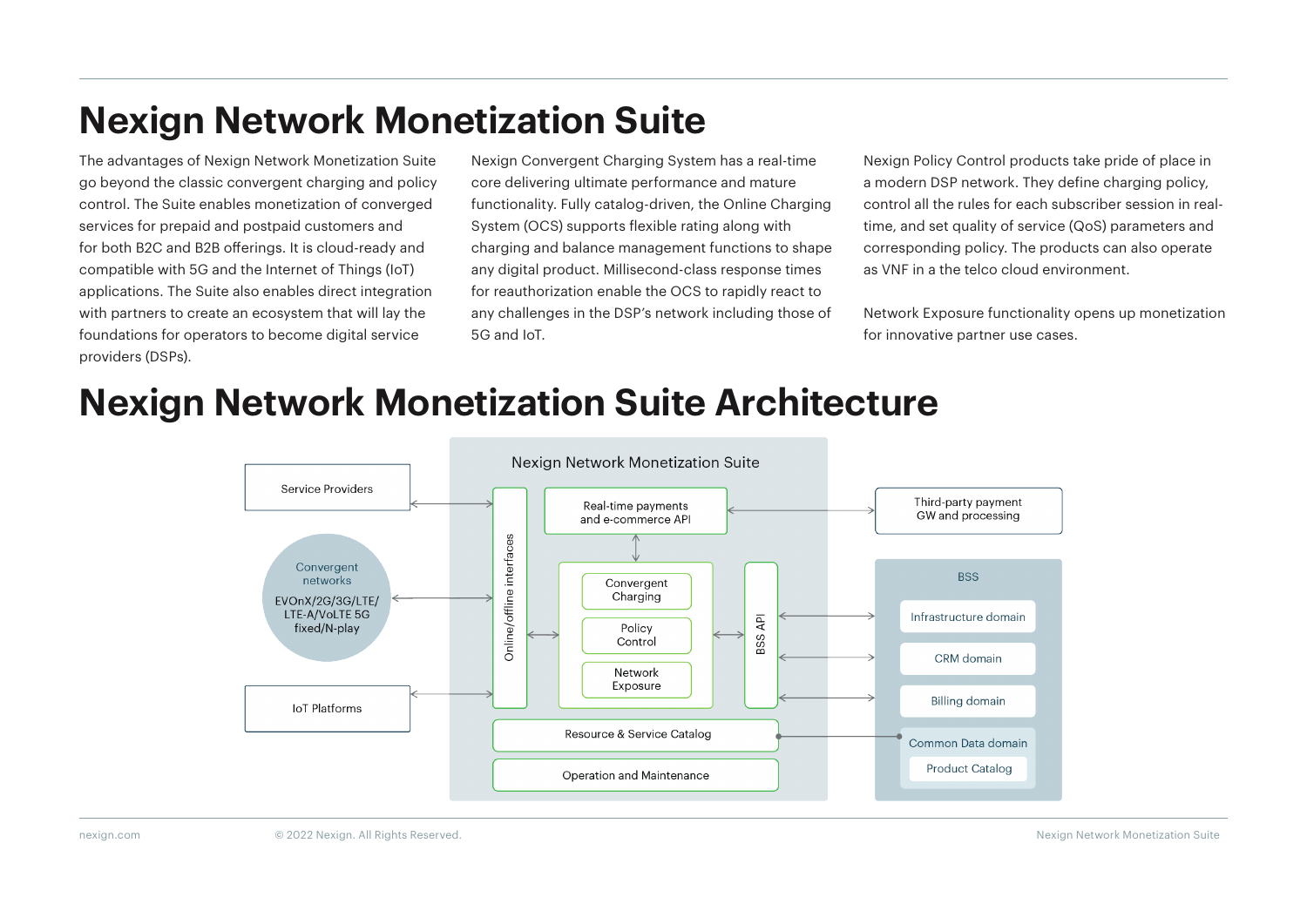# **Nexign Network Monetization Suite**

The advantages of Nexign Network Monetization Suite go beyond the classic convergent charging and policy control. The Suite enables monetization of converged services for prepaid and postpaid customers and for both B2C and B2B offerings. It is cloud-ready and compatible with 5G and the Internet of Things (IoT) applications. The Suite also enables direct integration with partners to create an ecosystem that will lay the foundations for operators to become digital service providers (DSPs).

Nexign Convergent Charging System has a real-time core delivering ultimate performance and mature functionality. Fully catalog-driven, the Online Charging System (OCS) supports flexible rating along with charging and balance management functions to shape any digital product. Millisecond-class response times for reauthorization enable the OCS to rapidly react to any challenges in the DSP's network including those of 5G and IoT.

Nexign Policy Control products take pride of place in a modern DSP network. They define charging policy, control all the rules for each subscriber session in realtime, and set quality of service (QoS) parameters and corresponding policy. The products can also operate as VNF in a the telco cloud environment.

Network Exposure functionality opens up monetization for innovative partner use cases.

## **Nexign Network Monetization Suite Architecture**

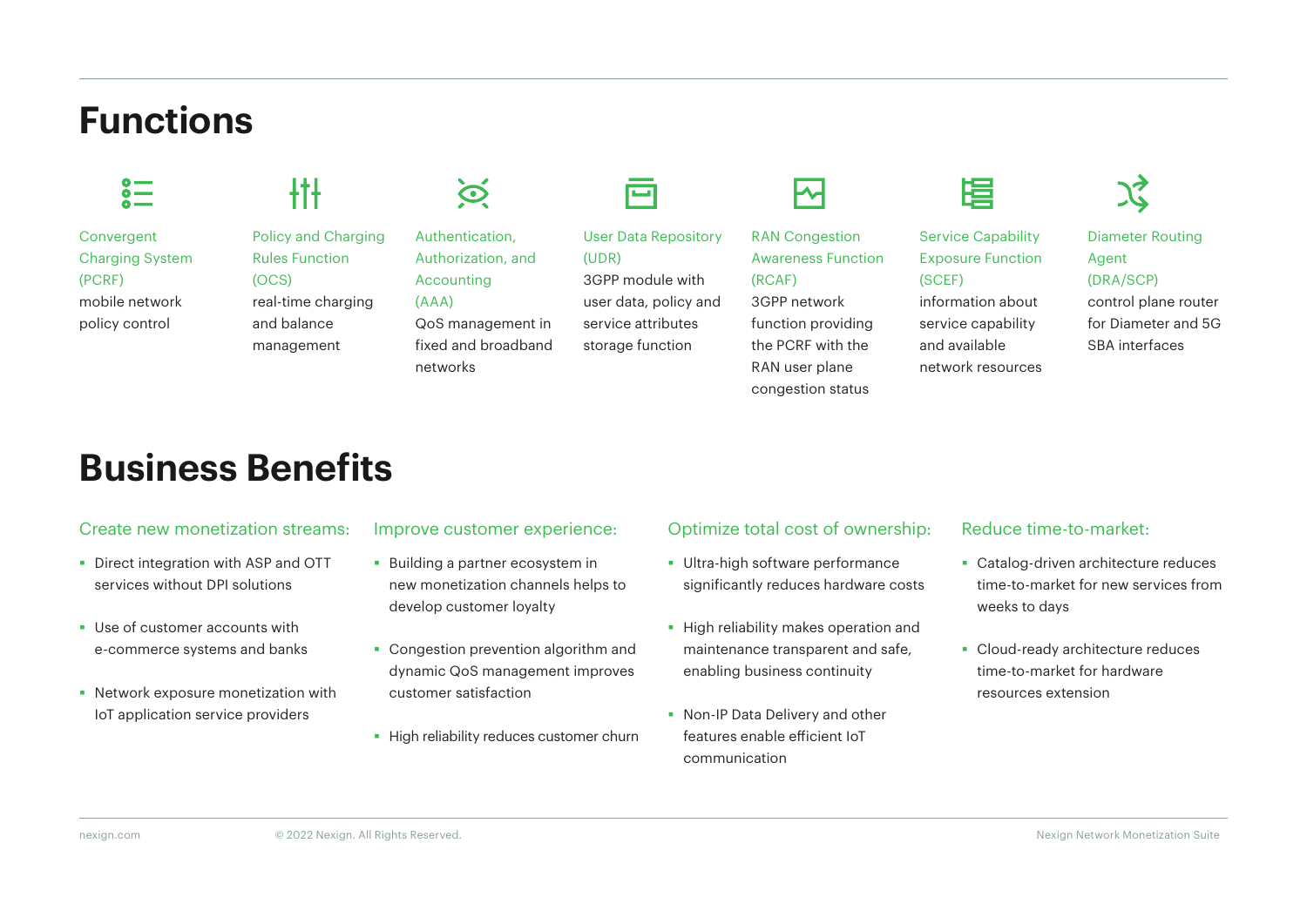# **Functions**



Convergent Charging System (PCRF) mobile network policy control

### łĦ

Policy and Charging Rules Function (OCS) real-time charging and balance management



Authentication, Authorization, and Accounting (AAA) QoS management in

fixed and broadband networks

**TET** 

User Data Repository

 $(UDR)$ 3GPP module with user data, policy and service attributes storage function



RAN Congestion Awareness Function (RCAF)

3GPP network function providing the PCRF with the RAN user plane congestion status and available network resources



Service Capability Exposure Function (SCEF) information about service capability

**JZ** 

Diameter Routing Agent (DRA/SCP) control plane router

for Diameter and 5G SBA interfaces

### **Business Benefits**

#### Create new monetization streams:

- Direct integration with ASP and OTT services without DPI solutions
- Use of customer accounts with e-commerce systems and banks
- Network exposure monetization with IoT application service providers

#### Improve customer experience:

- **Building a partner ecosystem in** new monetization channels helps to develop customer loyalty
- **Congestion prevention algorithm and** dynamic QoS management improves customer satisfaction
- **High reliability reduces customer churn**

#### Optimize total cost of ownership:

- **Ultra-high software performance** significantly reduces hardware costs
- **High reliability makes operation and** maintenance transparent and safe, enabling business continuity
- **Non-IP Data Delivery and other** features enable efficient IoT communication

#### Reduce time-to-market:

- **Catalog-driven architecture reduces** time-to-market for new services from weeks to days
- Cloud-ready architecture reduces time-to-market for hardware resources extension